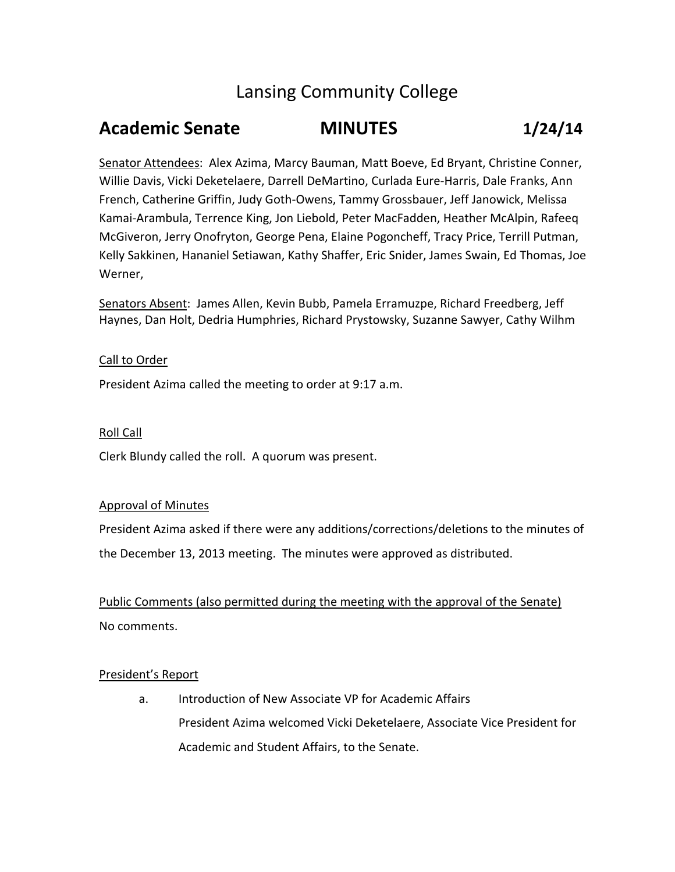# Lansing Community College

## **Academic Senate MINUTES 1/24/14**

Senator Attendees: Alex Azima, Marcy Bauman, Matt Boeve, Ed Bryant, Christine Conner, Willie Davis, Vicki Deketelaere, Darrell DeMartino, Curlada Eure‐Harris, Dale Franks, Ann French, Catherine Griffin, Judy Goth‐Owens, Tammy Grossbauer, Jeff Janowick, Melissa Kamai‐Arambula, Terrence King, Jon Liebold, Peter MacFadden, Heather McAlpin, Rafeeq McGiveron, Jerry Onofryton, George Pena, Elaine Pogoncheff, Tracy Price, Terrill Putman, Kelly Sakkinen, Hananiel Setiawan, Kathy Shaffer, Eric Snider, James Swain, Ed Thomas, Joe Werner,

Senators Absent: James Allen, Kevin Bubb, Pamela Erramuzpe, Richard Freedberg, Jeff Haynes, Dan Holt, Dedria Humphries, Richard Prystowsky, Suzanne Sawyer, Cathy Wilhm

## Call to Order

President Azima called the meeting to order at 9:17 a.m.

## Roll Call

Clerk Blundy called the roll. A quorum was present.

## Approval of Minutes

President Azima asked if there were any additions/corrections/deletions to the minutes of the December 13, 2013 meeting. The minutes were approved as distributed.

Public Comments (also permitted during the meeting with the approval of the Senate) No comments.

## President's Report

a. Introduction of New Associate VP for Academic Affairs President Azima welcomed Vicki Deketelaere, Associate Vice President for Academic and Student Affairs, to the Senate.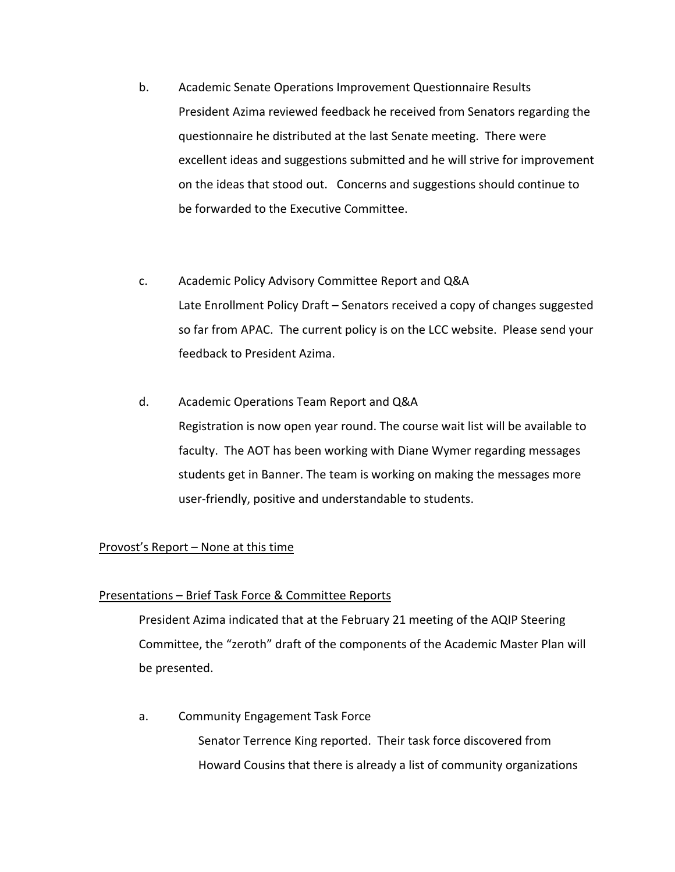- b. Academic Senate Operations Improvement Questionnaire Results President Azima reviewed feedback he received from Senators regarding the questionnaire he distributed at the last Senate meeting. There were excellent ideas and suggestions submitted and he will strive for improvement on the ideas that stood out. Concerns and suggestions should continue to be forwarded to the Executive Committee.
- c. Academic Policy Advisory Committee Report and Q&A Late Enrollment Policy Draft – Senators received a copy of changes suggested so far from APAC. The current policy is on the LCC website. Please send your feedback to President Azima.
- d. Academic Operations Team Report and Q&A Registration is now open year round. The course wait list will be available to faculty. The AOT has been working with Diane Wymer regarding messages students get in Banner. The team is working on making the messages more user‐friendly, positive and understandable to students.

## Provost's Report – None at this time

## Presentations – Brief Task Force & Committee Reports

President Azima indicated that at the February 21 meeting of the AQIP Steering Committee, the "zeroth" draft of the components of the Academic Master Plan will be presented.

a. Community Engagement Task Force Senator Terrence King reported. Their task force discovered from Howard Cousins that there is already a list of community organizations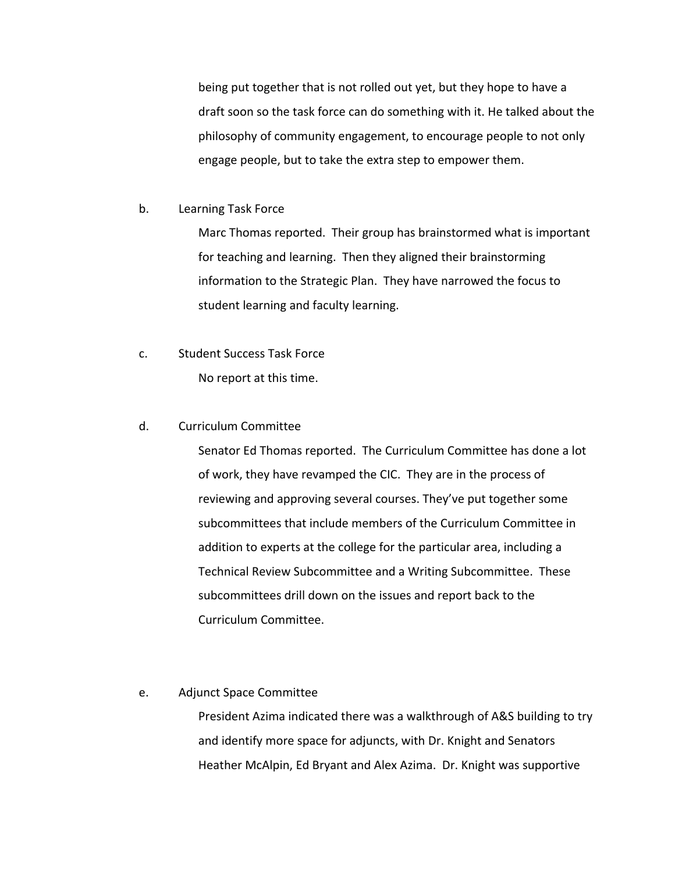being put together that is not rolled out yet, but they hope to have a draft soon so the task force can do something with it. He talked about the philosophy of community engagement, to encourage people to not only engage people, but to take the extra step to empower them.

b. Learning Task Force

Marc Thomas reported. Their group has brainstormed what is important for teaching and learning. Then they aligned their brainstorming information to the Strategic Plan. They have narrowed the focus to student learning and faculty learning.

c. Student Success Task Force No report at this time.

## d. Curriculum Committee

Senator Ed Thomas reported. The Curriculum Committee has done a lot of work, they have revamped the CIC. They are in the process of reviewing and approving several courses. They've put together some subcommittees that include members of the Curriculum Committee in addition to experts at the college for the particular area, including a Technical Review Subcommittee and a Writing Subcommittee. These subcommittees drill down on the issues and report back to the Curriculum Committee.

## e. Adjunct Space Committee

President Azima indicated there was a walkthrough of A&S building to try and identify more space for adjuncts, with Dr. Knight and Senators Heather McAlpin, Ed Bryant and Alex Azima. Dr. Knight was supportive